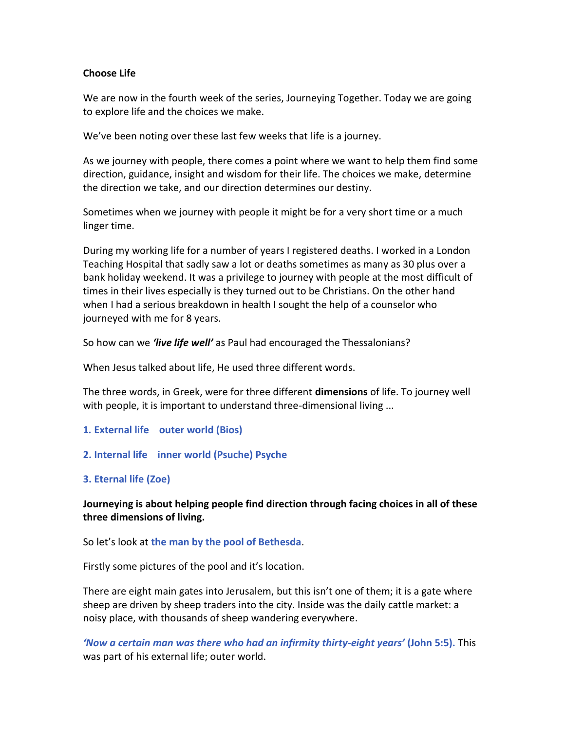## **Choose Life**

We are now in the fourth week of the series, Journeying Together. Today we are going to explore life and the choices we make.

We've been noting over these last few weeks that life is a journey.

As we journey with people, there comes a point where we want to help them find some direction, guidance, insight and wisdom for their life. The choices we make, determine the direction we take, and our direction determines our destiny.

Sometimes when we journey with people it might be for a very short time or a much linger time.

During my working life for a number of years I registered deaths. I worked in a London Teaching Hospital that sadly saw a lot or deaths sometimes as many as 30 plus over a bank holiday weekend. It was a privilege to journey with people at the most difficult of times in their lives especially is they turned out to be Christians. On the other hand when I had a serious breakdown in health I sought the help of a counselor who journeyed with me for 8 years.

So how can we *'live life well'* as Paul had encouraged the Thessalonians?

When Jesus talked about life, He used three different words.

The three words, in Greek, were for three different **dimensions** of life. To journey well with people, it is important to understand three-dimensional living ...

- **1***.* **External life outer world (Bios)**
- **2. Internal life inner world (Psuche) Psyche**
- **3. Eternal life (Zoe)**

**Journeying is about helping people find direction through facing choices in all of these three dimensions of living.** 

So let's look at **the man by the pool of Bethesda**.

Firstly some pictures of the pool and it's location.

There are eight main gates into Jerusalem, but this isn't one of them; it is a gate where sheep are driven by sheep traders into the city. Inside was the daily cattle market: a noisy place, with thousands of sheep wandering everywhere.

*'Now a certain man was there who had an infirmity thirty-eight years'* **(John 5:5).** This was part of his external life; outer world.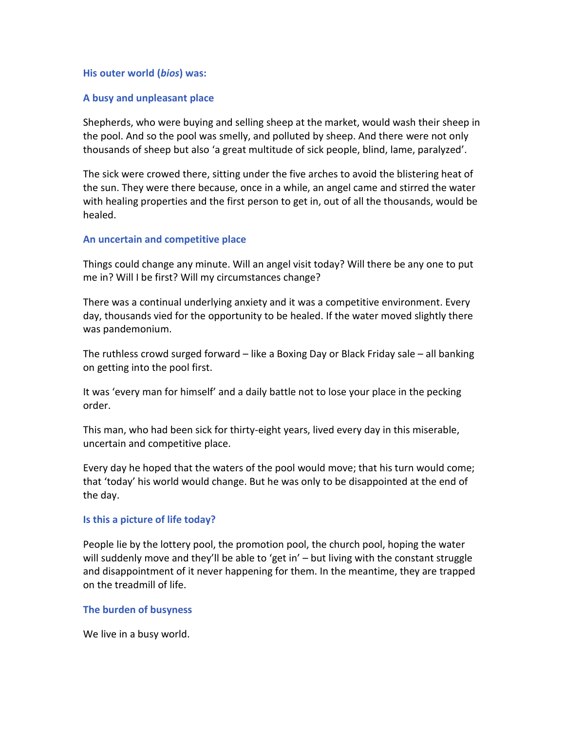### **His outer world (***bios***) was:**

## **A busy and unpleasant place**

Shepherds, who were buying and selling sheep at the market, would wash their sheep in the pool. And so the pool was smelly, and polluted by sheep. And there were not only thousands of sheep but also 'a great multitude of sick people, blind, lame, paralyzed'.

The sick were crowed there, sitting under the five arches to avoid the blistering heat of the sun. They were there because, once in a while, an angel came and stirred the water with healing properties and the first person to get in, out of all the thousands, would be healed.

### **An uncertain and competitive place**

Things could change any minute. Will an angel visit today? Will there be any one to put me in? Will I be first? Will my circumstances change?

There was a continual underlying anxiety and it was a competitive environment. Every day, thousands vied for the opportunity to be healed. If the water moved slightly there was pandemonium.

The ruthless crowd surged forward – like a Boxing Day or Black Friday sale – all banking on getting into the pool first.

It was 'every man for himself' and a daily battle not to lose your place in the pecking order.

This man, who had been sick for thirty-eight years, lived every day in this miserable, uncertain and competitive place.

Every day he hoped that the waters of the pool would move; that his turn would come; that 'today' his world would change. But he was only to be disappointed at the end of the day.

### **Is this a picture of life today?**

People lie by the lottery pool, the promotion pool, the church pool, hoping the water will suddenly move and they'll be able to 'get in' – but living with the constant struggle and disappointment of it never happening for them. In the meantime, they are trapped on the treadmill of life.

### **The burden of busyness**

We live in a busy world.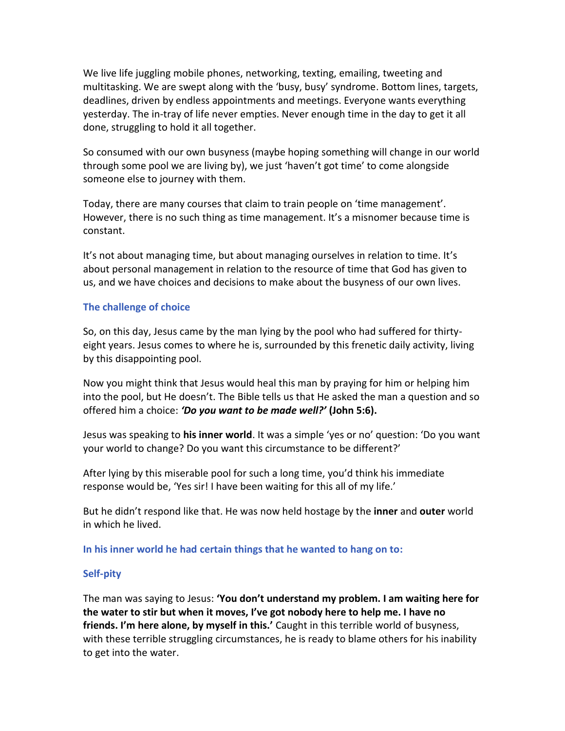We live life juggling mobile phones, networking, texting, emailing, tweeting and multitasking. We are swept along with the 'busy, busy' syndrome. Bottom lines, targets, deadlines, driven by endless appointments and meetings. Everyone wants everything yesterday. The in-tray of life never empties. Never enough time in the day to get it all done, struggling to hold it all together.

So consumed with our own busyness (maybe hoping something will change in our world through some pool we are living by), we just 'haven't got time' to come alongside someone else to journey with them.

Today, there are many courses that claim to train people on 'time management'. However, there is no such thing as time management. It's a misnomer because time is constant.

It's not about managing time, but about managing ourselves in relation to time. It's about personal management in relation to the resource of time that God has given to us, and we have choices and decisions to make about the busyness of our own lives.

# **The challenge of choice**

So, on this day, Jesus came by the man lying by the pool who had suffered for thirtyeight years. Jesus comes to where he is, surrounded by this frenetic daily activity, living by this disappointing pool.

Now you might think that Jesus would heal this man by praying for him or helping him into the pool, but He doesn't. The Bible tells us that He asked the man a question and so offered him a choice: *'Do you want to be made well?'* **(John 5:6).** 

Jesus was speaking to **his inner world**. It was a simple 'yes or no' question: 'Do you want your world to change? Do you want this circumstance to be different?'

After lying by this miserable pool for such a long time, you'd think his immediate response would be, 'Yes sir! I have been waiting for this all of my life.'

But he didn't respond like that. He was now held hostage by the **inner** and **outer** world in which he lived.

**In his inner world he had certain things that he wanted to hang on to:**

# **Self-pity**

The man was saying to Jesus: **'You don't understand my problem. I am waiting here for the water to stir but when it moves, I've got nobody here to help me. I have no friends. I'm here alone, by myself in this.'** Caught in this terrible world of busyness, with these terrible struggling circumstances, he is ready to blame others for his inability to get into the water.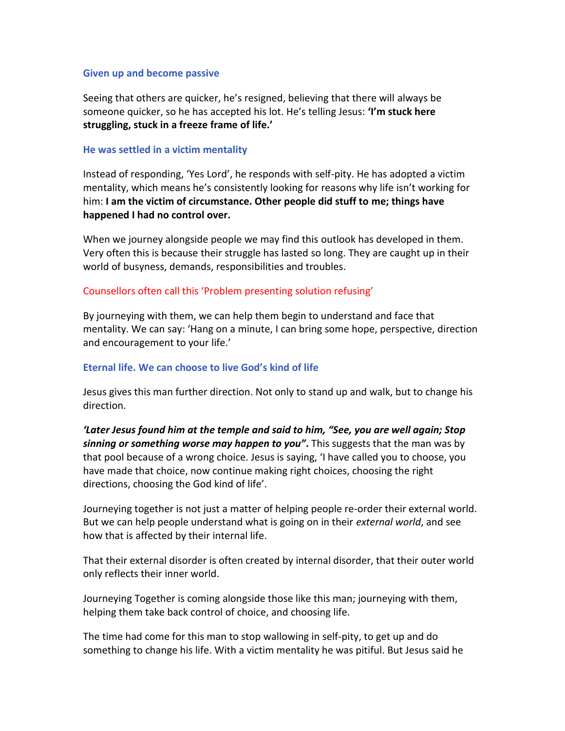#### **Given up and become passive**

Seeing that others are quicker, he's resigned, believing that there will always be someone quicker, so he has accepted his lot. He's telling Jesus: **'I'm stuck here struggling, stuck in a freeze frame of life.'** 

### **He was settled in a victim mentality**

Instead of responding, 'Yes Lord', he responds with self-pity. He has adopted a victim mentality, which means he's consistently looking for reasons why life isn't working for him: **I am the victim of circumstance. Other people did stuff to me; things have happened I had no control over.** 

When we journey alongside people we may find this outlook has developed in them. Very often this is because their struggle has lasted so long. They are caught up in their world of busyness, demands, responsibilities and troubles.

### Counsellors often call this 'Problem presenting solution refusing'

By journeying with them, we can help them begin to understand and face that mentality. We can say: 'Hang on a minute, I can bring some hope, perspective, direction and encouragement to your life.'

## **Eternal life. We can choose to live God's kind of life**

Jesus gives this man further direction. Not only to stand up and walk, but to change his direction.

*'Later Jesus found him at the temple and said to him, "See, you are well again; Stop sinning or something worse may happen to you"***.** This suggests that the man was by that pool because of a wrong choice. Jesus is saying, 'I have called you to choose, you have made that choice, now continue making right choices, choosing the right directions, choosing the God kind of life'.

Journeying together is not just a matter of helping people re-order their external world. But we can help people understand what is going on in their *external world*, and see how that is affected by their internal life.

That their external disorder is often created by internal disorder, that their outer world only reflects their inner world.

Journeying Together is coming alongside those like this man; journeying with them, helping them take back control of choice, and choosing life.

The time had come for this man to stop wallowing in self-pity, to get up and do something to change his life. With a victim mentality he was pitiful. But Jesus said he